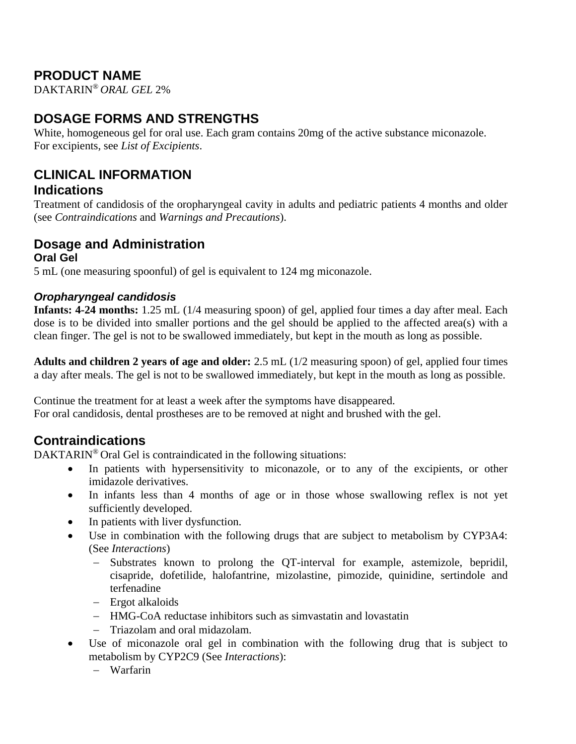## **PRODUCT NAME**

DAKTARIN® *ORAL GEL* 2%

# **DOSAGE FORMS AND STRENGTHS**

White, homogeneous gel for oral use. Each gram contains 20mg of the active substance miconazole. For excipients, see *List of Excipients*.

### **CLINICAL INFORMATION Indications**

Treatment of candidosis of the oropharyngeal cavity in adults and pediatric patients 4 months and older (see *Contraindications* and *Warnings and Precautions*).

#### **Dosage and Administration Oral Gel**

5 mL (one measuring spoonful) of gel is equivalent to 124 mg miconazole.

### *Oropharyngeal candidosis*

**Infants: 4-24 months:** 1.25 mL (1/4 measuring spoon) of gel, applied four times a day after meal. Each dose is to be divided into smaller portions and the gel should be applied to the affected area(s) with a clean finger. The gel is not to be swallowed immediately, but kept in the mouth as long as possible.

**Adults and children 2 years of age and older:** 2.5 mL (1/2 measuring spoon) of gel, applied four times a day after meals. The gel is not to be swallowed immediately, but kept in the mouth as long as possible.

Continue the treatment for at least a week after the symptoms have disappeared. For oral candidosis, dental prostheses are to be removed at night and brushed with the gel.

## **Contraindications**

DAKTARIN<sup>®</sup> Oral Gel is contraindicated in the following situations:

- In patients with hypersensitivity to miconazole, or to any of the excipients, or other imidazole derivatives.
- In infants less than 4 months of age or in those whose swallowing reflex is not yet sufficiently developed.
- In patients with liver dysfunction.
- Use in combination with the following drugs that are subject to metabolism by CYP3A4: (See *Interactions*)
	- − Substrates known to prolong the QT-interval for example, astemizole, bepridil, cisapride, dofetilide, halofantrine, mizolastine, pimozide, quinidine, sertindole and terfenadine
	- − Ergot alkaloids
	- − HMG-CoA reductase inhibitors such as simvastatin and lovastatin
	- − Triazolam and oral midazolam.
- Use of miconazole oral gel in combination with the following drug that is subject to metabolism by CYP2C9 (See *Interactions*):
	- − Warfarin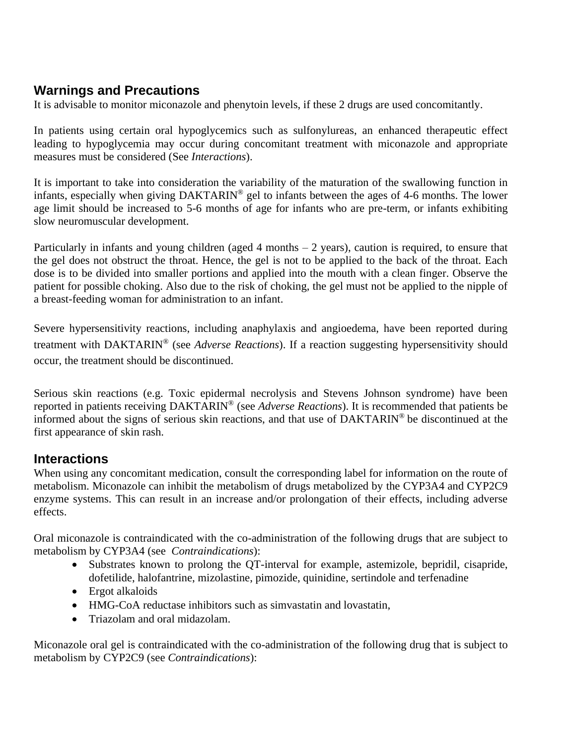## **Warnings and Precautions**

It is advisable to monitor miconazole and phenytoin levels, if these 2 drugs are used concomitantly.

In patients using certain oral hypoglycemics such as sulfonylureas, an enhanced therapeutic effect leading to hypoglycemia may occur during concomitant treatment with miconazole and appropriate measures must be considered (See *Interactions*).

It is important to take into consideration the variability of the maturation of the swallowing function in infants, especially when giving DAKTARIN® gel to infants between the ages of 4-6 months. The lower age limit should be increased to 5-6 months of age for infants who are pre-term, or infants exhibiting slow neuromuscular development.

Particularly in infants and young children (aged 4 months  $-2$  years), caution is required, to ensure that the gel does not obstruct the throat. Hence, the gel is not to be applied to the back of the throat. Each dose is to be divided into smaller portions and applied into the mouth with a clean finger. Observe the patient for possible choking. Also due to the risk of choking, the gel must not be applied to the nipple of a breast-feeding woman for administration to an infant.

Severe hypersensitivity reactions, including anaphylaxis and angioedema, have been reported during treatment with DAKTARIN® (see *Adverse Reactions*). If a reaction suggesting hypersensitivity should occur, the treatment should be discontinued.

Serious skin reactions (e.g. Toxic epidermal necrolysis and Stevens Johnson syndrome) have been reported in patients receiving DAKTARIN® (see *Adverse Reactions*). It is recommended that patients be informed about the signs of serious skin reactions, and that use of DAKTARIN® be discontinued at the first appearance of skin rash.

### **Interactions**

When using any concomitant medication, consult the corresponding label for information on the route of metabolism. Miconazole can inhibit the metabolism of drugs metabolized by the CYP3A4 and CYP2C9 enzyme systems. This can result in an increase and/or prolongation of their effects, including adverse effects.

Oral miconazole is contraindicated with the co-administration of the following drugs that are subject to metabolism by CYP3A4 (see *Contraindications*):

- Substrates known to prolong the QT-interval for example, astemizole, bepridil, cisapride, dofetilide, halofantrine, mizolastine, pimozide, quinidine, sertindole and terfenadine
- Ergot alkaloids
- HMG-CoA reductase inhibitors such as simvastatin and lovastatin,
- Triazolam and oral midazolam.

Miconazole oral gel is contraindicated with the co-administration of the following drug that is subject to metabolism by CYP2C9 (see *Contraindications*):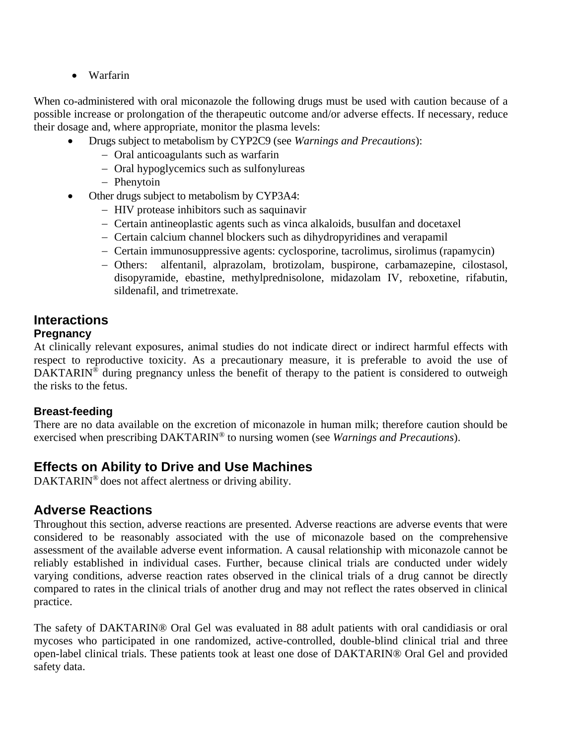• Warfarin

When co-administered with oral miconazole the following drugs must be used with caution because of a possible increase or prolongation of the therapeutic outcome and/or adverse effects. If necessary, reduce their dosage and, where appropriate, monitor the plasma levels:

- Drugs subject to metabolism by CYP2C9 (see *Warnings and Precautions*):
	- − Oral anticoagulants such as warfarin
	- − Oral hypoglycemics such as sulfonylureas
	- − Phenytoin
- Other drugs subject to metabolism by CYP3A4:
	- − HIV protease inhibitors such as saquinavir
	- − Certain antineoplastic agents such as vinca alkaloids, busulfan and docetaxel
	- − Certain calcium channel blockers such as dihydropyridines and verapamil
	- − Certain immunosuppressive agents: cyclosporine, tacrolimus, sirolimus (rapamycin)
	- − Others: alfentanil, alprazolam, brotizolam, buspirone, carbamazepine, cilostasol, disopyramide, ebastine, methylprednisolone, midazolam IV, reboxetine, rifabutin, sildenafil, and trimetrexate.

### **Interactions Pregnancy**

At clinically relevant exposures, animal studies do not indicate direct or indirect harmful effects with respect to reproductive toxicity. As a precautionary measure, it is preferable to avoid the use of DAKTARIN<sup>®</sup> during pregnancy unless the benefit of therapy to the patient is considered to outweigh the risks to the fetus.

### **Breast-feeding**

There are no data available on the excretion of miconazole in human milk; therefore caution should be exercised when prescribing DAKTARIN® to nursing women (see *Warnings and Precautions*).

## **Effects on Ability to Drive and Use Machines**

DAKTARIN® does not affect alertness or driving ability.

## **Adverse Reactions**

Throughout this section, adverse reactions are presented. Adverse reactions are adverse events that were considered to be reasonably associated with the use of miconazole based on the comprehensive assessment of the available adverse event information. A causal relationship with miconazole cannot be reliably established in individual cases. Further, because clinical trials are conducted under widely varying conditions, adverse reaction rates observed in the clinical trials of a drug cannot be directly compared to rates in the clinical trials of another drug and may not reflect the rates observed in clinical practice.

The safety of DAKTARIN® Oral Gel was evaluated in 88 adult patients with oral candidiasis or oral mycoses who participated in one randomized, active-controlled, double-blind clinical trial and three open-label clinical trials. These patients took at least one dose of DAKTARIN® Oral Gel and provided safety data.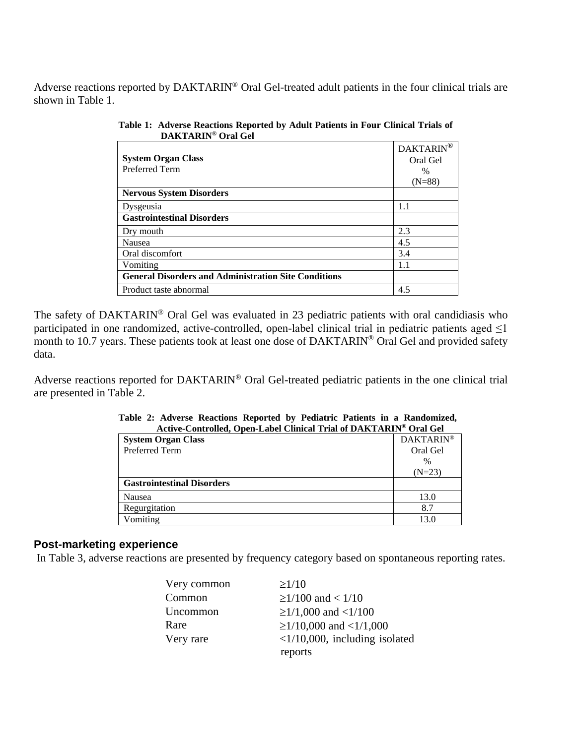Adverse reactions reported by DAKTARIN® Oral Gel-treated adult patients in the four clinical trials are shown in Table 1.

|                                                             | <b>DAKTARIN</b> |
|-------------------------------------------------------------|-----------------|
| <b>System Organ Class</b>                                   | Oral Gel        |
| Preferred Term                                              | $\%$            |
|                                                             | $(N=88)$        |
| <b>Nervous System Disorders</b>                             |                 |
| Dysgeusia                                                   | 1.1             |
| <b>Gastrointestinal Disorders</b>                           |                 |
| Dry mouth                                                   | 2.3             |
| Nausea                                                      | 4.5             |
| Oral discomfort                                             | 3.4             |
| Vomiting                                                    | 1.1             |
| <b>General Disorders and Administration Site Conditions</b> |                 |
| Product taste abnormal                                      | 4.5             |

**Table 1: Adverse Reactions Reported by Adult Patients in Four Clinical Trials of DAKTARIN® Oral Gel**

The safety of DAKTARIN<sup>®</sup> Oral Gel was evaluated in 23 pediatric patients with oral candidiasis who participated in one randomized, active-controlled, open-label clinical trial in pediatric patients aged  $\leq$ 1 month to 10.7 years. These patients took at least one dose of DAKTARIN<sup>®</sup> Oral Gel and provided safety data.

Adverse reactions reported for DAKTARIN® Oral Gel-treated pediatric patients in the one clinical trial are presented in Table 2.

| ACUVE-CONtrolled, Open-Label Chilical Trial of DANTANIN° Oral Gel |                  |  |  |  |
|-------------------------------------------------------------------|------------------|--|--|--|
| <b>System Organ Class</b>                                         | <b>DAKTARIN®</b> |  |  |  |
| Preferred Term                                                    | Oral Gel         |  |  |  |
|                                                                   | $\%$             |  |  |  |
|                                                                   | $(N=23)$         |  |  |  |
| <b>Gastrointestinal Disorders</b>                                 |                  |  |  |  |
| Nausea                                                            | 13.0             |  |  |  |
| Regurgitation                                                     | 8.7              |  |  |  |
| Vomiting                                                          | 13.0             |  |  |  |

|  |  |  |  |  | Table 2: Adverse Reactions Reported by Pediatric Patients in a Randomized, |
|--|--|--|--|--|----------------------------------------------------------------------------|
|  |  |  |  |  | Active-Controlled, Open-Label Clinical Trial of DAKTARIN® Oral Gel         |

#### **Post-marketing experience**

In Table 3, adverse reactions are presented by frequency category based on spontaneous reporting rates.

| Very common | $\geq$ 1/10                            |
|-------------|----------------------------------------|
| Common      | $\geq$ 1/100 and < 1/10                |
| Uncommon    | $\geq$ 1/1,000 and <1/100              |
| Rare        | $\geq$ 1/10,000 and <1/1,000           |
| Very rare   | $\langle 1/10,000,$ including isolated |
|             | reports                                |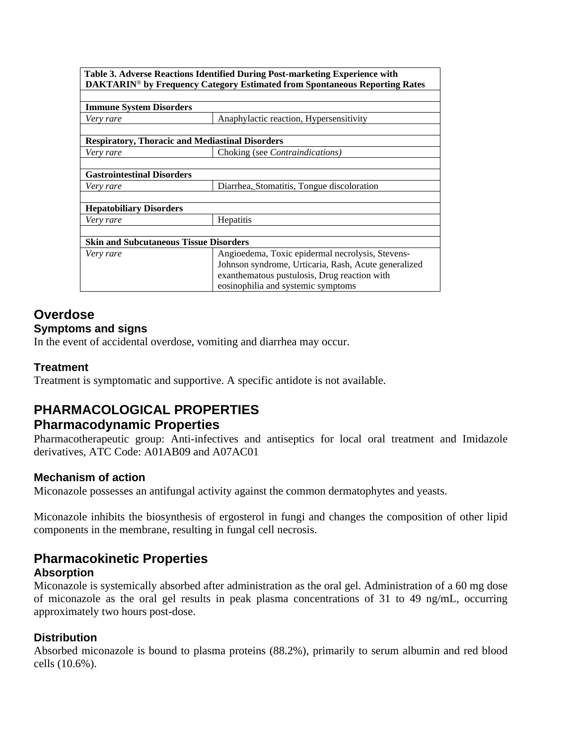|                                               | Table 3. Adverse Reactions Identified During Post-marketing Experience with<br>DAKTARIN® by Frequency Category Estimated from Spontaneous Reporting Rates                                      |
|-----------------------------------------------|------------------------------------------------------------------------------------------------------------------------------------------------------------------------------------------------|
| <b>Immune System Disorders</b>                |                                                                                                                                                                                                |
| Very rare                                     | Anaphylactic reaction, Hypersensitivity                                                                                                                                                        |
|                                               | <b>Respiratory, Thoracic and Mediastinal Disorders</b>                                                                                                                                         |
| Very rare                                     | Choking (see <i>Contraindications</i> )                                                                                                                                                        |
| <b>Gastrointestinal Disorders</b>             |                                                                                                                                                                                                |
| Very rare                                     | Diarrhea, Stomatitis, Tongue discoloration                                                                                                                                                     |
| <b>Hepatobiliary Disorders</b>                |                                                                                                                                                                                                |
| Very rare                                     | <b>Hepatitis</b>                                                                                                                                                                               |
| <b>Skin and Subcutaneous Tissue Disorders</b> |                                                                                                                                                                                                |
| Very rare                                     | Angioedema, Toxic epidermal necrolysis, Stevens-<br>Johnson syndrome, Urticaria, Rash, Acute generalized<br>exanthematous pustulosis, Drug reaction with<br>eosinophilia and systemic symptoms |

## **Overdose**

### **Symptoms and signs**

In the event of accidental overdose, vomiting and diarrhea may occur.

### **Treatment**

Treatment is symptomatic and supportive. A specific antidote is not available.

## **PHARMACOLOGICAL PROPERTIES Pharmacodynamic Properties**

Pharmacotherapeutic group: Anti-infectives and antiseptics for local oral treatment and Imidazole derivatives, ATC Code: A01AB09 and A07AC01

#### **Mechanism of action**

Miconazole possesses an antifungal activity against the common dermatophytes and yeasts.

Miconazole inhibits the biosynthesis of ergosterol in fungi and changes the composition of other lipid components in the membrane, resulting in fungal cell necrosis.

### **Pharmacokinetic Properties**

#### **Absorption**

Miconazole is systemically absorbed after administration as the oral gel. Administration of a 60 mg dose of miconazole as the oral gel results in peak plasma concentrations of 31 to 49 ng/mL, occurring approximately two hours post-dose.

### **Distribution**

Absorbed miconazole is bound to plasma proteins (88.2%), primarily to serum albumin and red blood cells (10.6%).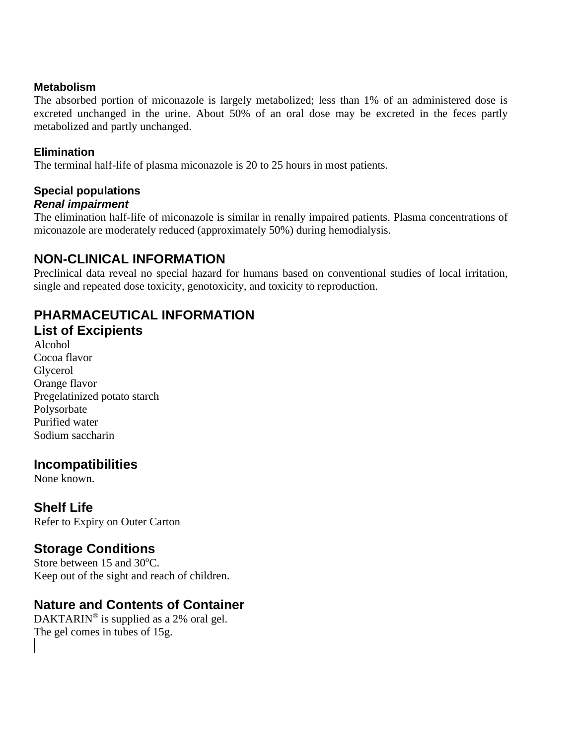#### **Metabolism**

The absorbed portion of miconazole is largely metabolized; less than 1% of an administered dose is excreted unchanged in the urine. About 50% of an oral dose may be excreted in the feces partly metabolized and partly unchanged.

### **Elimination**

The terminal half-life of plasma miconazole is 20 to 25 hours in most patients.

### **Special populations** *Renal impairment*

The elimination half-life of miconazole is similar in renally impaired patients. Plasma concentrations of miconazole are moderately reduced (approximately 50%) during hemodialysis.

# **NON-CLINICAL INFORMATION**

Preclinical data reveal no special hazard for humans based on conventional studies of local irritation, single and repeated dose toxicity, genotoxicity, and toxicity to reproduction.

## **PHARMACEUTICAL INFORMATION List of Excipients**

Alcohol Cocoa flavor Glycerol Orange flavor Pregelatinized potato starch Polysorbate Purified water Sodium saccharin

## **Incompatibilities**

None known.

## **Shelf Life**

Refer to Expiry on Outer Carton

## **Storage Conditions**

Store between 15 and 30°C. Keep out of the sight and reach of children.

## **Nature and Contents of Container**

DAKTARIN<sup>®</sup> is supplied as a 2% oral gel. The gel comes in tubes of 15g.